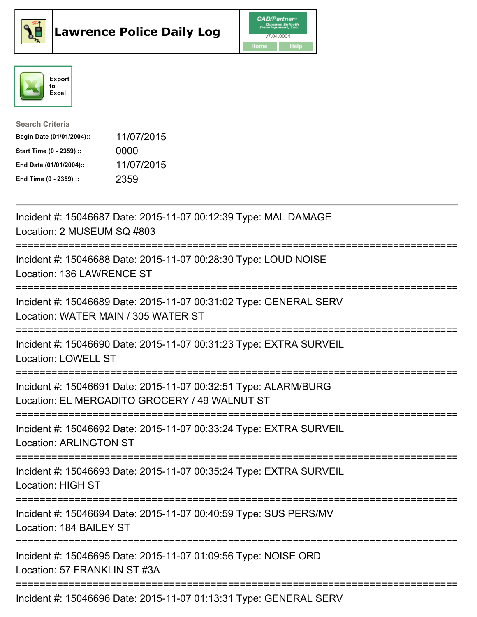





| <b>Search Criteria</b>    |            |
|---------------------------|------------|
| Begin Date (01/01/2004):: | 11/07/2015 |
| Start Time (0 - 2359) ::  | 0000       |
| End Date (01/01/2004)::   | 11/07/2015 |
| End Time (0 - 2359) ::    | 2359       |

Incident #: 15046687 Date: 2015-11-07 00:12:39 Type: MAL DAMAGE Location: 2 MUSEUM SQ #803 =========================================================================== Incident #: 15046688 Date: 2015-11-07 00:28:30 Type: LOUD NOISE Location: 136 LAWRENCE ST =========================================================================== Incident #: 15046689 Date: 2015-11-07 00:31:02 Type: GENERAL SERV Location: WATER MAIN / 305 WATER ST =========================================================================== Incident #: 15046690 Date: 2015-11-07 00:31:23 Type: EXTRA SURVEIL Location: LOWELL ST =========================================================================== Incident #: 15046691 Date: 2015-11-07 00:32:51 Type: ALARM/BURG Location: EL MERCADITO GROCERY / 49 WALNUT ST =========================================================================== Incident #: 15046692 Date: 2015-11-07 00:33:24 Type: EXTRA SURVEIL Location: ARLINGTON ST =========================================================================== Incident #: 15046693 Date: 2015-11-07 00:35:24 Type: EXTRA SURVEIL Location: HIGH ST =========================================================================== Incident #: 15046694 Date: 2015-11-07 00:40:59 Type: SUS PERS/MV Location: 184 BAILEY ST =========================================================================== Incident #: 15046695 Date: 2015-11-07 01:09:56 Type: NOISE ORD Location: 57 FRANKLIN ST #3A =========================================================================== Incident #: 15046696 Date: 2015-11-07 01:13:31 Type: GENERAL SERV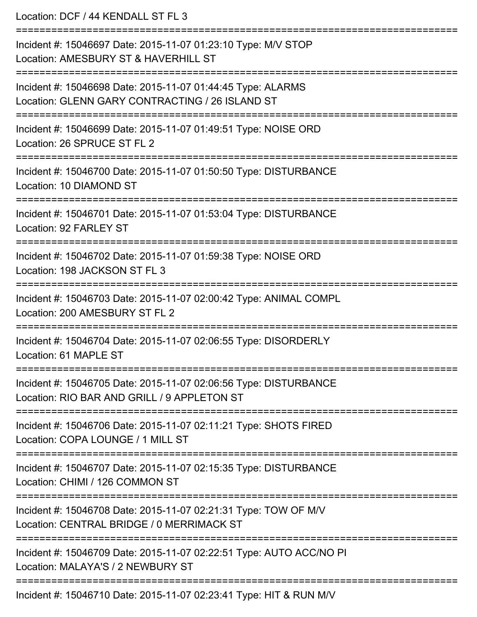Location: DCF / 44 KENDALL ST FL 3 =========================================================================== Incident #: 15046697 Date: 2015-11-07 01:23:10 Type: M/V STOP Location: AMESBURY ST & HAVERHILL ST =========================================================================== Incident #: 15046698 Date: 2015-11-07 01:44:45 Type: ALARMS Location: GLENN GARY CONTRACTING / 26 ISLAND ST =========================================================================== Incident #: 15046699 Date: 2015-11-07 01:49:51 Type: NOISE ORD Location: 26 SPRUCE ST FL 2 =========================================================================== Incident #: 15046700 Date: 2015-11-07 01:50:50 Type: DISTURBANCE Location: 10 DIAMOND ST =========================================================================== Incident #: 15046701 Date: 2015-11-07 01:53:04 Type: DISTURBANCE Location: 92 FARLEY ST =========================================================================== Incident #: 15046702 Date: 2015-11-07 01:59:38 Type: NOISE ORD Location: 198 JACKSON ST FL 3 =========================================================================== Incident #: 15046703 Date: 2015-11-07 02:00:42 Type: ANIMAL COMPL Location: 200 AMESBURY ST FL 2 =========================================================================== Incident #: 15046704 Date: 2015-11-07 02:06:55 Type: DISORDERLY Location: 61 MAPLE ST =========================================================================== Incident #: 15046705 Date: 2015-11-07 02:06:56 Type: DISTURBANCE Location: RIO BAR AND GRILL / 9 APPLETON ST =========================================================================== Incident #: 15046706 Date: 2015-11-07 02:11:21 Type: SHOTS FIRED Location: COPA LOUNGE / 1 MILL ST =========================================================================== Incident #: 15046707 Date: 2015-11-07 02:15:35 Type: DISTURBANCE Location: CHIMI / 126 COMMON ST =========================================================================== Incident #: 15046708 Date: 2015-11-07 02:21:31 Type: TOW OF M/V Location: CENTRAL BRIDGE / 0 MERRIMACK ST =========================================================================== Incident #: 15046709 Date: 2015-11-07 02:22:51 Type: AUTO ACC/NO PI Location: MALAYA'S / 2 NEWBURY ST =========================================================================== Incident #: 15046710 Date: 2015-11-07 02:23:41 Type: HIT & RUN M/V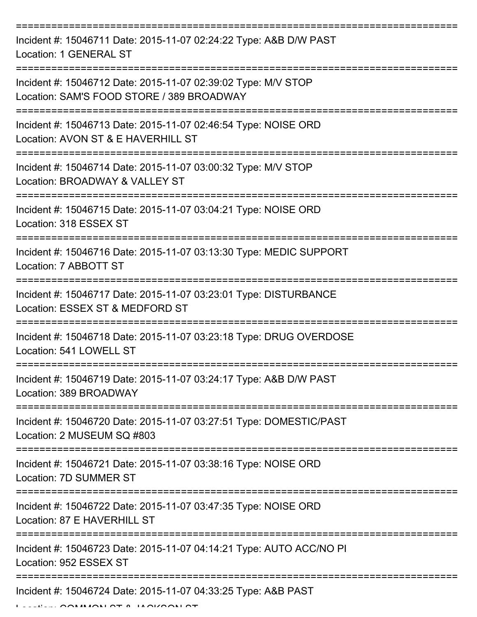=========================================================================== Incident #: 15046711 Date: 2015-11-07 02:24:22 Type: A&B D/W PAST Location: 1 GENERAL ST =========================================================================== Incident #: 15046712 Date: 2015-11-07 02:39:02 Type: M/V STOP Location: SAM'S FOOD STORE / 389 BROADWAY =========================================================================== Incident #: 15046713 Date: 2015-11-07 02:46:54 Type: NOISE ORD Location: AVON ST & E HAVERHILL ST =========================================================================== Incident #: 15046714 Date: 2015-11-07 03:00:32 Type: M/V STOP Location: BROADWAY & VALLEY ST =========================================================================== Incident #: 15046715 Date: 2015-11-07 03:04:21 Type: NOISE ORD Location: 318 ESSEX ST =========================================================================== Incident #: 15046716 Date: 2015-11-07 03:13:30 Type: MEDIC SUPPORT Location: 7 ABBOTT ST =========================================================================== Incident #: 15046717 Date: 2015-11-07 03:23:01 Type: DISTURBANCE Location: ESSEX ST & MEDFORD ST =========================================================================== Incident #: 15046718 Date: 2015-11-07 03:23:18 Type: DRUG OVERDOSE Location: 541 LOWELL ST =========================================================================== Incident #: 15046719 Date: 2015-11-07 03:24:17 Type: A&B D/W PAST Location: 389 BROADWAY =========================================================================== Incident #: 15046720 Date: 2015-11-07 03:27:51 Type: DOMESTIC/PAST Location: 2 MUSEUM SQ #803 =========================================================================== Incident #: 15046721 Date: 2015-11-07 03:38:16 Type: NOISE ORD Location: 7D SUMMER ST =========================================================================== Incident #: 15046722 Date: 2015-11-07 03:47:35 Type: NOISE ORD Location: 87 F HAVERHILL ST =========================================================================== Incident #: 15046723 Date: 2015-11-07 04:14:21 Type: AUTO ACC/NO PI Location: 952 ESSEX ST =========================================================================== Incident #: 15046724 Date: 2015-11-07 04:33:25 Type: A&B PAST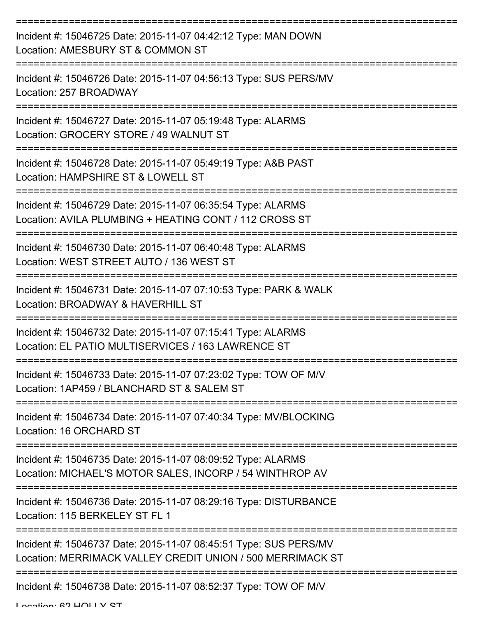| Incident #: 15046725 Date: 2015-11-07 04:42:12 Type: MAN DOWN<br>Location: AMESBURY ST & COMMON ST                             |
|--------------------------------------------------------------------------------------------------------------------------------|
| Incident #: 15046726 Date: 2015-11-07 04:56:13 Type: SUS PERS/MV<br>Location: 257 BROADWAY                                     |
| Incident #: 15046727 Date: 2015-11-07 05:19:48 Type: ALARMS<br>Location: GROCERY STORE / 49 WALNUT ST                          |
| Incident #: 15046728 Date: 2015-11-07 05:49:19 Type: A&B PAST<br>Location: HAMPSHIRE ST & LOWELL ST                            |
| Incident #: 15046729 Date: 2015-11-07 06:35:54 Type: ALARMS<br>Location: AVILA PLUMBING + HEATING CONT / 112 CROSS ST          |
| Incident #: 15046730 Date: 2015-11-07 06:40:48 Type: ALARMS<br>Location: WEST STREET AUTO / 136 WEST ST                        |
| Incident #: 15046731 Date: 2015-11-07 07:10:53 Type: PARK & WALK<br>Location: BROADWAY & HAVERHILL ST                          |
| Incident #: 15046732 Date: 2015-11-07 07:15:41 Type: ALARMS<br>Location: EL PATIO MULTISERVICES / 163 LAWRENCE ST              |
| Incident #: 15046733 Date: 2015-11-07 07:23:02 Type: TOW OF M/V<br>Location: 1AP459 / BLANCHARD ST & SALEM ST                  |
| Incident #: 15046734 Date: 2015-11-07 07:40:34 Type: MV/BLOCKING<br>Location: 16 ORCHARD ST                                    |
| Incident #: 15046735 Date: 2015-11-07 08:09:52 Type: ALARMS<br>Location: MICHAEL'S MOTOR SALES, INCORP / 54 WINTHROP AV        |
| Incident #: 15046736 Date: 2015-11-07 08:29:16 Type: DISTURBANCE<br>Location: 115 BERKELEY ST FL 1                             |
| Incident #: 15046737 Date: 2015-11-07 08:45:51 Type: SUS PERS/MV<br>Location: MERRIMACK VALLEY CREDIT UNION / 500 MERRIMACK ST |
| Incident #: 15046738 Date: 2015-11-07 08:52:37 Type: TOW OF M/V                                                                |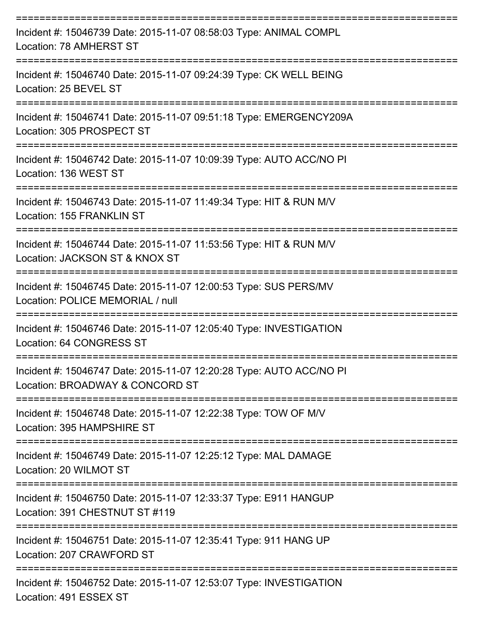| Incident #: 15046739 Date: 2015-11-07 08:58:03 Type: ANIMAL COMPL<br>Location: 78 AMHERST ST           |
|--------------------------------------------------------------------------------------------------------|
| Incident #: 15046740 Date: 2015-11-07 09:24:39 Type: CK WELL BEING<br>Location: 25 BEVEL ST            |
| Incident #: 15046741 Date: 2015-11-07 09:51:18 Type: EMERGENCY209A<br>Location: 305 PROSPECT ST        |
| Incident #: 15046742 Date: 2015-11-07 10:09:39 Type: AUTO ACC/NO PI<br>Location: 136 WEST ST           |
| Incident #: 15046743 Date: 2015-11-07 11:49:34 Type: HIT & RUN M/V<br>Location: 155 FRANKLIN ST        |
| Incident #: 15046744 Date: 2015-11-07 11:53:56 Type: HIT & RUN M/V<br>Location: JACKSON ST & KNOX ST   |
| Incident #: 15046745 Date: 2015-11-07 12:00:53 Type: SUS PERS/MV<br>Location: POLICE MEMORIAL / null   |
| Incident #: 15046746 Date: 2015-11-07 12:05:40 Type: INVESTIGATION<br>Location: 64 CONGRESS ST         |
| Incident #: 15046747 Date: 2015-11-07 12:20:28 Type: AUTO ACC/NO PI<br>Location: BROADWAY & CONCORD ST |
| Incident #: 15046748 Date: 2015-11-07 12:22:38 Type: TOW OF M/V<br>Location: 395 HAMPSHIRE ST          |
| Incident #: 15046749 Date: 2015-11-07 12:25:12 Type: MAL DAMAGE<br>Location: 20 WILMOT ST              |
| Incident #: 15046750 Date: 2015-11-07 12:33:37 Type: E911 HANGUP<br>Location: 391 CHESTNUT ST #119     |
| Incident #: 15046751 Date: 2015-11-07 12:35:41 Type: 911 HANG UP<br>Location: 207 CRAWFORD ST          |
| Incident #: 15046752 Date: 2015-11-07 12:53:07 Type: INVESTIGATION<br>Location: 491 ESSEX ST           |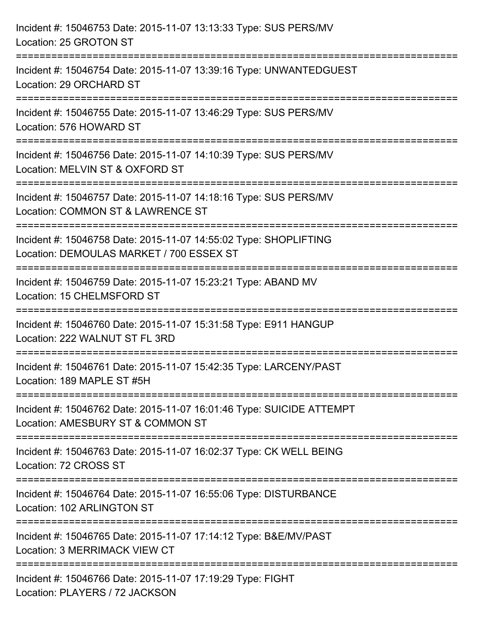| Incident #: 15046753 Date: 2015-11-07 13:13:33 Type: SUS PERS/MV<br>Location: 25 GROTON ST                                                             |
|--------------------------------------------------------------------------------------------------------------------------------------------------------|
| Incident #: 15046754 Date: 2015-11-07 13:39:16 Type: UNWANTEDGUEST<br>Location: 29 ORCHARD ST                                                          |
| Incident #: 15046755 Date: 2015-11-07 13:46:29 Type: SUS PERS/MV<br>Location: 576 HOWARD ST<br>---------------------                                   |
| Incident #: 15046756 Date: 2015-11-07 14:10:39 Type: SUS PERS/MV<br>Location: MELVIN ST & OXFORD ST                                                    |
| Incident #: 15046757 Date: 2015-11-07 14:18:16 Type: SUS PERS/MV<br>Location: COMMON ST & LAWRENCE ST<br>====================                          |
| Incident #: 15046758 Date: 2015-11-07 14:55:02 Type: SHOPLIFTING<br>Location: DEMOULAS MARKET / 700 ESSEX ST<br>====================================== |
| Incident #: 15046759 Date: 2015-11-07 15:23:21 Type: ABAND MV<br>Location: 15 CHELMSFORD ST                                                            |
| Incident #: 15046760 Date: 2015-11-07 15:31:58 Type: E911 HANGUP<br>Location: 222 WALNUT ST FL 3RD                                                     |
| Incident #: 15046761 Date: 2015-11-07 15:42:35 Type: LARCENY/PAST<br>Location: 189 MAPLE ST #5H                                                        |
| Incident #: 15046762 Date: 2015-11-07 16:01:46 Type: SUICIDE ATTEMPT<br>Location: AMESBURY ST & COMMON ST                                              |
| Incident #: 15046763 Date: 2015-11-07 16:02:37 Type: CK WELL BEING<br>Location: 72 CROSS ST                                                            |
| Incident #: 15046764 Date: 2015-11-07 16:55:06 Type: DISTURBANCE<br>Location: 102 ARLINGTON ST                                                         |
| Incident #: 15046765 Date: 2015-11-07 17:14:12 Type: B&E/MV/PAST<br>Location: 3 MERRIMACK VIEW CT                                                      |
| Incident #: 15046766 Date: 2015-11-07 17:19:29 Type: FIGHT<br>Location: PLAYERS / 72 JACKSON                                                           |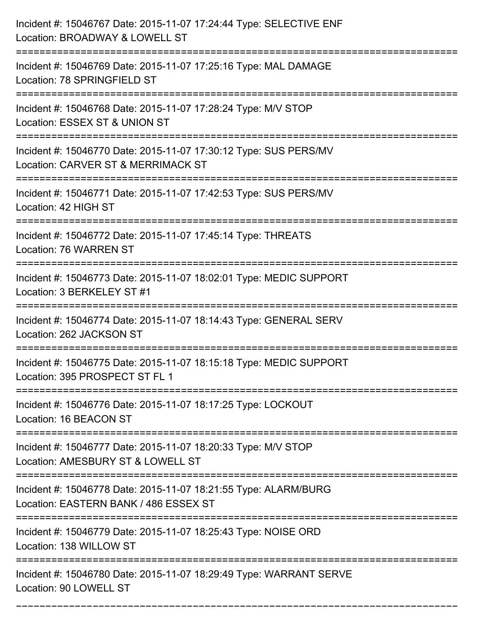| Incident #: 15046767 Date: 2015-11-07 17:24:44 Type: SELECTIVE ENF<br>Location: BROADWAY & LOWELL ST     |
|----------------------------------------------------------------------------------------------------------|
| Incident #: 15046769 Date: 2015-11-07 17:25:16 Type: MAL DAMAGE<br>Location: 78 SPRINGFIELD ST           |
| Incident #: 15046768 Date: 2015-11-07 17:28:24 Type: M/V STOP<br>Location: ESSEX ST & UNION ST           |
| Incident #: 15046770 Date: 2015-11-07 17:30:12 Type: SUS PERS/MV<br>Location: CARVER ST & MERRIMACK ST   |
| Incident #: 15046771 Date: 2015-11-07 17:42:53 Type: SUS PERS/MV<br>Location: 42 HIGH ST                 |
| Incident #: 15046772 Date: 2015-11-07 17:45:14 Type: THREATS<br><b>Location: 76 WARREN ST</b>            |
| Incident #: 15046773 Date: 2015-11-07 18:02:01 Type: MEDIC SUPPORT<br>Location: 3 BERKELEY ST #1         |
| Incident #: 15046774 Date: 2015-11-07 18:14:43 Type: GENERAL SERV<br>Location: 262 JACKSON ST            |
| Incident #: 15046775 Date: 2015-11-07 18:15:18 Type: MEDIC SUPPORT<br>Location: 395 PROSPECT ST FL 1     |
| Incident #: 15046776 Date: 2015-11-07 18:17:25 Type: LOCKOUT<br>Location: 16 BEACON ST                   |
| Incident #: 15046777 Date: 2015-11-07 18:20:33 Type: M/V STOP<br>Location: AMESBURY ST & LOWELL ST       |
| Incident #: 15046778 Date: 2015-11-07 18:21:55 Type: ALARM/BURG<br>Location: EASTERN BANK / 486 ESSEX ST |
| Incident #: 15046779 Date: 2015-11-07 18:25:43 Type: NOISE ORD<br>Location: 138 WILLOW ST                |
| Incident #: 15046780 Date: 2015-11-07 18:29:49 Type: WARRANT SERVE<br>Location: 90 LOWELL ST             |

===========================================================================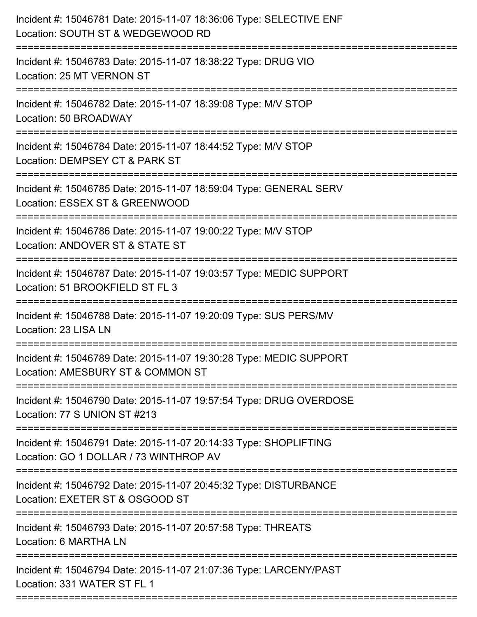| Incident #: 15046781 Date: 2015-11-07 18:36:06 Type: SELECTIVE ENF<br>Location: SOUTH ST & WEDGEWOOD RD<br>:====================== |
|------------------------------------------------------------------------------------------------------------------------------------|
| Incident #: 15046783 Date: 2015-11-07 18:38:22 Type: DRUG VIO<br>Location: 25 MT VERNON ST                                         |
| Incident #: 15046782 Date: 2015-11-07 18:39:08 Type: M/V STOP<br>Location: 50 BROADWAY<br>======================                   |
| Incident #: 15046784 Date: 2015-11-07 18:44:52 Type: M/V STOP<br>Location: DEMPSEY CT & PARK ST                                    |
| Incident #: 15046785 Date: 2015-11-07 18:59:04 Type: GENERAL SERV<br>Location: ESSEX ST & GREENWOOD                                |
| Incident #: 15046786 Date: 2015-11-07 19:00:22 Type: M/V STOP<br>Location: ANDOVER ST & STATE ST<br>=====================          |
| Incident #: 15046787 Date: 2015-11-07 19:03:57 Type: MEDIC SUPPORT<br>Location: 51 BROOKFIELD ST FL 3<br>--------------            |
| Incident #: 15046788 Date: 2015-11-07 19:20:09 Type: SUS PERS/MV<br>Location: 23 LISA LN                                           |
| Incident #: 15046789 Date: 2015-11-07 19:30:28 Type: MEDIC SUPPORT<br>Location: AMESBURY ST & COMMON ST                            |
| Incident #: 15046790 Date: 2015-11-07 19:57:54 Type: DRUG OVERDOSE<br>Location: 77 S UNION ST #213                                 |
| Incident #: 15046791 Date: 2015-11-07 20:14:33 Type: SHOPLIFTING<br>Location: GO 1 DOLLAR / 73 WINTHROP AV                         |
| Incident #: 15046792 Date: 2015-11-07 20:45:32 Type: DISTURBANCE<br>Location: EXETER ST & OSGOOD ST                                |
| Incident #: 15046793 Date: 2015-11-07 20:57:58 Type: THREATS<br>Location: 6 MARTHA LN                                              |
| Incident #: 15046794 Date: 2015-11-07 21:07:36 Type: LARCENY/PAST<br>Location: 331 WATER ST FL 1                                   |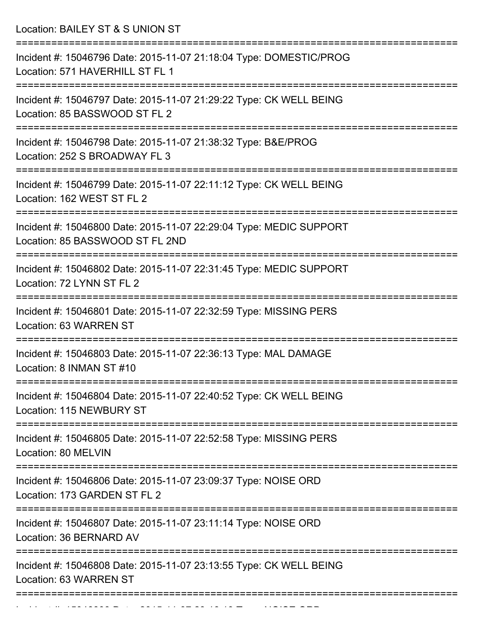Location: BAILEY ST & S UNION ST

| Incident #: 15046796 Date: 2015-11-07 21:18:04 Type: DOMESTIC/PROG<br>Location: 571 HAVERHILL ST FL 1                                              |
|----------------------------------------------------------------------------------------------------------------------------------------------------|
| Incident #: 15046797 Date: 2015-11-07 21:29:22 Type: CK WELL BEING<br>Location: 85 BASSWOOD ST FL 2                                                |
| Incident #: 15046798 Date: 2015-11-07 21:38:32 Type: B&E/PROG<br>Location: 252 S BROADWAY FL 3                                                     |
| Incident #: 15046799 Date: 2015-11-07 22:11:12 Type: CK WELL BEING<br>Location: 162 WEST ST FL 2                                                   |
| Incident #: 15046800 Date: 2015-11-07 22:29:04 Type: MEDIC SUPPORT<br>Location: 85 BASSWOOD ST FL 2ND<br>===================<br>================== |
| Incident #: 15046802 Date: 2015-11-07 22:31:45 Type: MEDIC SUPPORT<br>Location: 72 LYNN ST FL 2                                                    |
| Incident #: 15046801 Date: 2015-11-07 22:32:59 Type: MISSING PERS<br>Location: 63 WARREN ST                                                        |
| Incident #: 15046803 Date: 2015-11-07 22:36:13 Type: MAL DAMAGE<br>Location: 8 INMAN ST #10                                                        |
| Incident #: 15046804 Date: 2015-11-07 22:40:52 Type: CK WELL BEING<br>Location: 115 NEWBURY ST                                                     |
| :===============<br>Incident #: 15046805 Date: 2015-11-07 22:52:58 Type: MISSING PERS<br>Location: 80 MELVIN                                       |
| Incident #: 15046806 Date: 2015-11-07 23:09:37 Type: NOISE ORD<br>Location: 173 GARDEN ST FL 2                                                     |
| Incident #: 15046807 Date: 2015-11-07 23:11:14 Type: NOISE ORD<br>Location: 36 BERNARD AV                                                          |
| Incident #: 15046808 Date: 2015-11-07 23:13:55 Type: CK WELL BEING<br>Location: 63 WARREN ST                                                       |
|                                                                                                                                                    |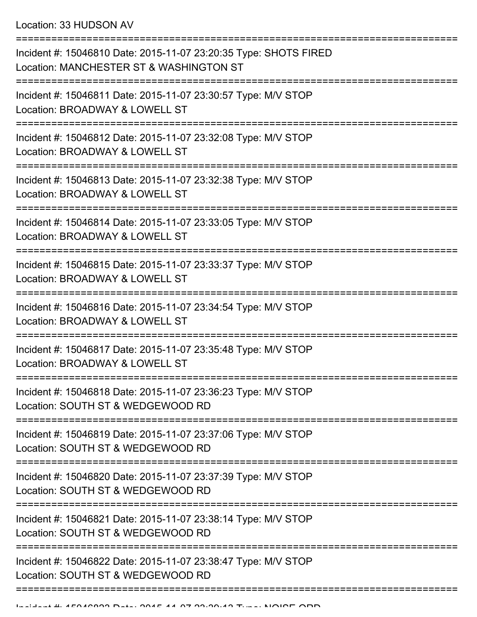Location: 33 HUDSON AV

=========================================================================== Incident #: 15046810 Date: 2015-11-07 23:20:35 Type: SHOTS FIRED Location: MANCHESTER ST & WASHINGTON ST =========================================================================== Incident #: 15046811 Date: 2015-11-07 23:30:57 Type: M/V STOP Location: BROADWAY & LOWELL ST =========================================================================== Incident #: 15046812 Date: 2015-11-07 23:32:08 Type: M/V STOP Location: BROADWAY & LOWELL ST =========================================================================== Incident #: 15046813 Date: 2015-11-07 23:32:38 Type: M/V STOP Location: BROADWAY & LOWELL ST =========================================================================== Incident #: 15046814 Date: 2015-11-07 23:33:05 Type: M/V STOP Location: BROADWAY & LOWELL ST =========================================================================== Incident #: 15046815 Date: 2015-11-07 23:33:37 Type: M/V STOP Location: BROADWAY & LOWELL ST =========================================================================== Incident #: 15046816 Date: 2015-11-07 23:34:54 Type: M/V STOP Location: BROADWAY & LOWELL ST =========================================================================== Incident #: 15046817 Date: 2015-11-07 23:35:48 Type: M/V STOP Location: BROADWAY & LOWELL ST =========================================================================== Incident #: 15046818 Date: 2015-11-07 23:36:23 Type: M/V STOP Location: SOUTH ST & WEDGEWOOD RD =========================================================================== Incident #: 15046819 Date: 2015-11-07 23:37:06 Type: M/V STOP Location: SOUTH ST & WEDGEWOOD RD =========================================================================== Incident #: 15046820 Date: 2015-11-07 23:37:39 Type: M/V STOP Location: SOUTH ST & WEDGEWOOD RD =========================================================================== Incident #: 15046821 Date: 2015-11-07 23:38:14 Type: M/V STOP Location: SOUTH ST & WEDGEWOOD RD ================== Incident #: 15046822 Date: 2015-11-07 23:38:47 Type: M/V STOP Location: SOUTH ST & WEDGEWOOD RD ===========================================================================